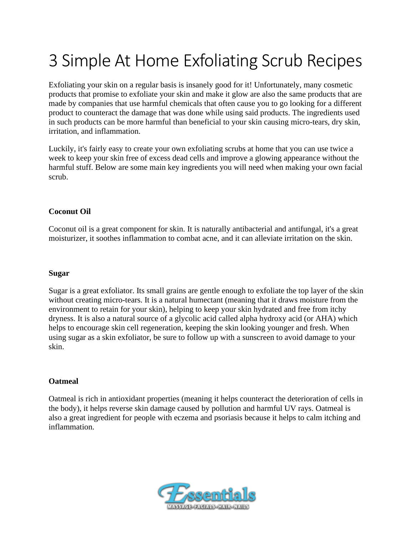# 3 Simple At Home Exfoliating Scrub Recipes

Exfoliating your skin on a regular basis is insanely good for it! Unfortunately, many cosmetic products that promise to exfoliate your skin and make it glow are also the same products that are made by companies that use harmful chemicals that often cause you to go looking for a different product to counteract the damage that was done while using said products. The ingredients used in such products can be more harmful than beneficial to your skin causing micro-tears, dry skin, irritation, and inflammation.

Luckily, it's fairly easy to create your own exfoliating scrubs at home that you can use twice a week to keep your skin free of excess dead cells and improve a glowing appearance without the harmful stuff. Below are some main key ingredients you will need when making your own facial scrub.

#### **Coconut Oil**

Coconut oil is a great component for skin. It is naturally antibacterial and antifungal, it's a great moisturizer, it soothes inflammation to combat acne, and it can alleviate irritation on the skin.

#### **Sugar**

Sugar is a great exfoliator. Its small grains are gentle enough to exfoliate the top layer of the skin without creating micro-tears. It is a natural humectant (meaning that it draws moisture from the environment to retain for your skin), helping to keep your skin hydrated and free from itchy dryness. It is also a natural source of a glycolic acid called alpha hydroxy acid (or AHA) which helps to encourage skin cell regeneration, keeping the skin looking younger and fresh. When using sugar as a skin exfoliator, be sure to follow up with a sunscreen to avoid damage to your skin.

#### **Oatmeal**

Oatmeal is rich in antioxidant properties (meaning it helps counteract the deterioration of cells in the body), it helps reverse skin damage caused by pollution and harmful UV rays. Oatmeal is also a great ingredient for people with eczema and psoriasis because it helps to calm itching and inflammation.